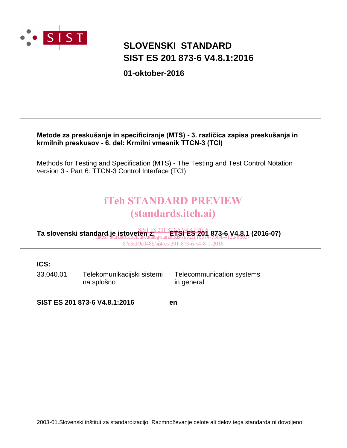

## **SIST ES 201 873-6 V4.8.1:2016 SLOVENSKI STANDARD**

**01-oktober-2016**

#### Metode za preskušanje in specificiranje (MTS) - 3. različica zapisa preskušanja in krmilnih preskusov - 6. del: Krmilni vmesnik TTCN-3 (TCI)

Methods for Testing and Specification (MTS) - The Testing and Test Control Notation version 3 - Part 6: TTCN-3 Control Interface (TCI)

## iTeh STANDARD PREVIEW (standards.iteh.ai)

**Ta slovenski standard je istoveten z: ETSI ES 201 873-6 V4.8.1 (2016-07)** SIST ES 201 873-6 V4.8.1:2016 https://standards.iteh.ai/catalog/standards/sist/2f116374-53a4-412a-8663- 87a8ab9e048b/sist-es-201-873-6-v4-8-1-2016

## **ICS:**

33.040.01 Telekomunikacijski sistemi na splošno

Telecommunication systems in general

**SIST ES 201 873-6 V4.8.1:2016 en**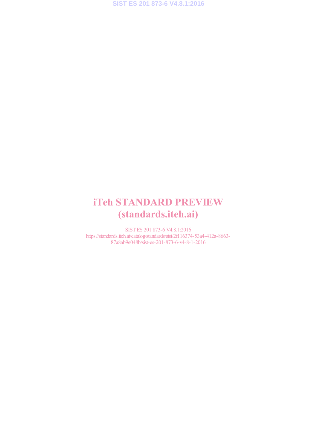# iTeh STANDARD PREVIEW (standards.iteh.ai)

SIST ES 201 873-6 V4.8.1:2016 https://standards.iteh.ai/catalog/standards/sist/2f116374-53a4-412a-8663- 87a8ab9e048b/sist-es-201-873-6-v4-8-1-2016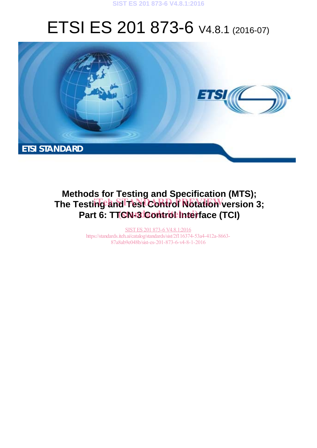#### **SIST ES 201 873-6 V4.8.1:2016**

# ETSI ES 201 873-6 V4.8.1 (2016-07)



## **Methods for Testing and Specification (MTS);** The Testing and Test Control Notation version 3; Part 6: TT**CN-3 Control Interface (TCI)**

SIST ES 201 873-6 V4.8.1:2016 https://standards.iteh.ai/catalog/standards/sist/2f116374-53a4-412a-8663- 87a8ab9e048b/sist-es-201-873-6-v4-8-1-2016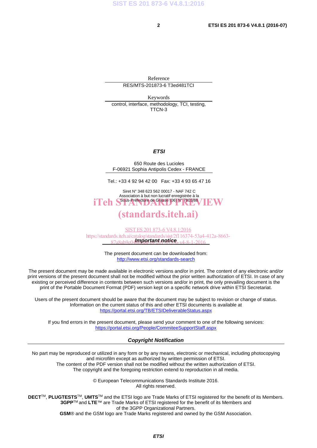Reference RES/MTS-201873-6 T3ed481TCI

Keywords control, interface, methodology, TCI, testing, TTCN-3

#### *ETSI*

650 Route des Lucioles F-06921 Sophia Antipolis Cedex - FRANCE

Tel.: +33 4 92 94 42 00 Fax: +33 4 93 65 47 16

Siret N° 348 623 562 00017 - NAF 742 C Association à but non lucratif enregistrée à la iTeh SSous-Préfecture de Grasse (06) N° 7803/88 / IEW

## (standards.iteh.ai)

87a8ab9e04**/mportant notice** -v4-8-1-2016 SIST ES 201 873-6 V4.8.1:2016 https://standards.iteh.ai/catalog/standards/sist/2f116374-53a4-412a-8663-

> The present document can be downloaded from: http://www.etsi.org/standards-search

The present document may be made available in electronic versions and/or in print. The content of any electronic and/or print versions of the present document shall not be modified without the prior written authorization of ETSI. In case of any existing or perceived difference in contents between such versions and/or in print, the only prevailing document is the print of the Portable Document Format (PDF) version kept on a specific network drive within ETSI Secretariat.

Users of the present document should be aware that the document may be subject to revision or change of status. Information on the current status of this and other ETSI documents is available at https://portal.etsi.org/TB/ETSIDeliverableStatus.aspx

If you find errors in the present document, please send your comment to one of the following services: https://portal.etsi.org/People/CommiteeSupportStaff.aspx

#### *Copyright Notification*

No part may be reproduced or utilized in any form or by any means, electronic or mechanical, including photocopying and microfilm except as authorized by written permission of ETSI. The content of the PDF version shall not be modified without the written authorization of ETSI.

The copyright and the foregoing restriction extend to reproduction in all media.

© European Telecommunications Standards Institute 2016. All rights reserved.

**DECT**TM, **PLUGTESTS**TM, **UMTS**TM and the ETSI logo are Trade Marks of ETSI registered for the benefit of its Members. **3GPP**TM and **LTE**™ are Trade Marks of ETSI registered for the benefit of its Members and of the 3GPP Organizational Partners.

**GSM**® and the GSM logo are Trade Marks registered and owned by the GSM Association.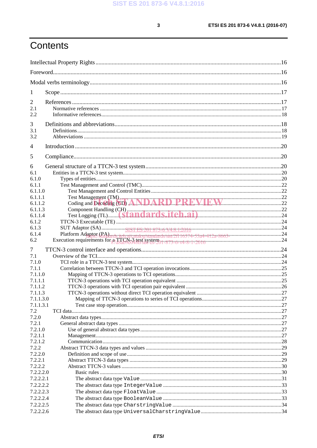$\mathbf{3}$ 

# Contents

| 1                |                                                                                                                                                                                                                                                                                                                                                                                                  |  |
|------------------|--------------------------------------------------------------------------------------------------------------------------------------------------------------------------------------------------------------------------------------------------------------------------------------------------------------------------------------------------------------------------------------------------|--|
| 2                |                                                                                                                                                                                                                                                                                                                                                                                                  |  |
| 2.1              |                                                                                                                                                                                                                                                                                                                                                                                                  |  |
| 2.2              |                                                                                                                                                                                                                                                                                                                                                                                                  |  |
| 3                |                                                                                                                                                                                                                                                                                                                                                                                                  |  |
| 3.1              |                                                                                                                                                                                                                                                                                                                                                                                                  |  |
| 3.2              |                                                                                                                                                                                                                                                                                                                                                                                                  |  |
| 4                |                                                                                                                                                                                                                                                                                                                                                                                                  |  |
| 5                |                                                                                                                                                                                                                                                                                                                                                                                                  |  |
|                  |                                                                                                                                                                                                                                                                                                                                                                                                  |  |
| 6                |                                                                                                                                                                                                                                                                                                                                                                                                  |  |
| 6.1              |                                                                                                                                                                                                                                                                                                                                                                                                  |  |
| 6.1.0<br>6.1.1   |                                                                                                                                                                                                                                                                                                                                                                                                  |  |
| 6.1.1.0          |                                                                                                                                                                                                                                                                                                                                                                                                  |  |
| 6.1.1.1          |                                                                                                                                                                                                                                                                                                                                                                                                  |  |
| 6.1.1.2          | Test Management (TM).<br>Coding and Decoding (CD) ANDARD PREVIEW 22                                                                                                                                                                                                                                                                                                                              |  |
| 6.1.1.3          |                                                                                                                                                                                                                                                                                                                                                                                                  |  |
| 6.1.1.4          | Component Handling (CH), The Sand Ann (CH) and Saint Component Handling (CH), The Saint Component Handling (CH), The Saint Component Capacity CH and Ann (CH) and Saint Component CH and Ann (CH) and Saint Chemical CH and CH                                                                                                                                                                   |  |
| 6.1.2            |                                                                                                                                                                                                                                                                                                                                                                                                  |  |
| 6.1.3            |                                                                                                                                                                                                                                                                                                                                                                                                  |  |
| 6.1.4            | Platform Adaptor (PA)<br>Randards: jteh: ay vatalog/standards/sist/2f116374-53a4-412a-8663-<br>24                                                                                                                                                                                                                                                                                                |  |
| 6.2              | Execution requirements for $\frac{3.75 \text{ cm}}{6.72681 \text{ cm} \cdot \text{m} \cdot \text{m} \cdot \text{m} \cdot \text{m} \cdot \text{m}}$ and $\frac{3.75 \text{ cm}}{2.71 \text{ cm} \cdot \text{m} \cdot \text{m} \cdot \text{m} \cdot \text{m} \cdot \text{m}}$ and $\frac{3.75 \text{ cm}}{6.72681 \text{ cm} \cdot \text{m} \cdot \text{m} \cdot \text{m}}$ and $\frac{3.75 \text$ |  |
| 7                |                                                                                                                                                                                                                                                                                                                                                                                                  |  |
| 7.1              |                                                                                                                                                                                                                                                                                                                                                                                                  |  |
| 7.1.0<br>7.1.1   |                                                                                                                                                                                                                                                                                                                                                                                                  |  |
| 7.1.1.0          |                                                                                                                                                                                                                                                                                                                                                                                                  |  |
| 7.1.1.1          |                                                                                                                                                                                                                                                                                                                                                                                                  |  |
| 7.1.1.2          |                                                                                                                                                                                                                                                                                                                                                                                                  |  |
| 7.1.1.3          |                                                                                                                                                                                                                                                                                                                                                                                                  |  |
| 7.1.1.3.0        |                                                                                                                                                                                                                                                                                                                                                                                                  |  |
| 7.1.1.3.1        |                                                                                                                                                                                                                                                                                                                                                                                                  |  |
| 7.2              |                                                                                                                                                                                                                                                                                                                                                                                                  |  |
| 7.2.0            |                                                                                                                                                                                                                                                                                                                                                                                                  |  |
| 7.2.1<br>7.2.1.0 |                                                                                                                                                                                                                                                                                                                                                                                                  |  |
| 7.2.1.1          |                                                                                                                                                                                                                                                                                                                                                                                                  |  |
| 7.2.1.2          |                                                                                                                                                                                                                                                                                                                                                                                                  |  |
| 7.2.2            |                                                                                                                                                                                                                                                                                                                                                                                                  |  |
| 7.2.2.0          |                                                                                                                                                                                                                                                                                                                                                                                                  |  |
| 7.2.2.1          |                                                                                                                                                                                                                                                                                                                                                                                                  |  |
| 7.2.2.2          |                                                                                                                                                                                                                                                                                                                                                                                                  |  |
| 7.2.2.2.0        |                                                                                                                                                                                                                                                                                                                                                                                                  |  |
| 7.2.2.2.1        |                                                                                                                                                                                                                                                                                                                                                                                                  |  |
| 7.2.2.2.2        |                                                                                                                                                                                                                                                                                                                                                                                                  |  |
| 7.2.2.2.3        |                                                                                                                                                                                                                                                                                                                                                                                                  |  |
| 7.2.2.2.4        |                                                                                                                                                                                                                                                                                                                                                                                                  |  |
| 7.2.2.2.5        |                                                                                                                                                                                                                                                                                                                                                                                                  |  |
| 7.2.2.2.6        |                                                                                                                                                                                                                                                                                                                                                                                                  |  |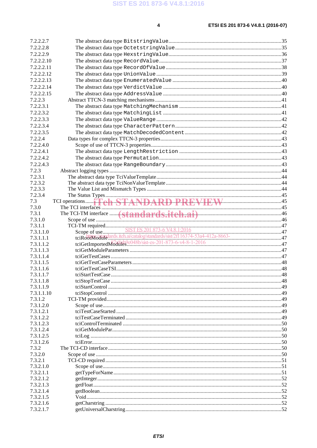$\overline{\mathbf{4}}$ 

| 7.2.2.2.7              |                                                          |    |
|------------------------|----------------------------------------------------------|----|
| 7.2.2.2.8              |                                                          |    |
| 7.2.2.2.9              |                                                          |    |
| 7.2.2.2.10             |                                                          |    |
| 7.2.2.2.11             |                                                          |    |
| 7.2.2.2.12             |                                                          |    |
| 7.2.2.2.13             |                                                          |    |
| 7.2.2.2.14             |                                                          |    |
| 7.2.2.2.15             |                                                          |    |
| 7.2.2.3                |                                                          |    |
| 7.2.2.3.1              |                                                          |    |
| 7.2.2.3.2              |                                                          |    |
| 7.2.2.3.3              |                                                          |    |
| 7.2.2.3.4              |                                                          |    |
| 7.2.2.3.5              |                                                          |    |
| 7.2.2.4                |                                                          |    |
| 7.2.2.4.0              |                                                          |    |
| 7.2.2.4.1              |                                                          |    |
| 7.2.2.4.2              |                                                          |    |
| 7.2.2.4.3              |                                                          |    |
| 7.2.3                  |                                                          |    |
| 7.2.3.1                |                                                          |    |
| 7.2.3.2                |                                                          |    |
| 7.2.3.3                |                                                          |    |
| 7.2.3.4                |                                                          |    |
| 7.3                    |                                                          |    |
| 7.3.0                  |                                                          |    |
| 7.3.1                  |                                                          |    |
| 7.3.1.0                |                                                          |    |
|                        |                                                          |    |
| 7.3.1.1                |                                                          |    |
| 7.3.1.1.0              |                                                          |    |
| 7.3.1.1.1              |                                                          |    |
| 7.3.1.1.2              | tciGetImportedModule8e048b/sist-es-201-873-6-v4-8-1-2016 |    |
| 7.3.1.1.3              |                                                          |    |
| 7.3.1.1.4              |                                                          |    |
| 7.3.1.1.5              |                                                          |    |
| 7.3.1.1.6              |                                                          |    |
| 7.3.1.1.7              | tciStartTestCase                                         | 48 |
| 7.3.1.1.8              |                                                          |    |
| 7.3.1.1.9              |                                                          |    |
| 7.3.1.1.10             |                                                          |    |
| 7.3.1.2<br>7.3.1.2.0   |                                                          |    |
|                        |                                                          |    |
| 7.3.1.2.1              |                                                          |    |
| 7.3.1.2.2              |                                                          |    |
| 7.3.1.2.3<br>7.3.1.2.4 |                                                          |    |
| 7.3.1.2.5              |                                                          |    |
| 7.3.1.2.6              |                                                          |    |
| 7.3.2                  |                                                          |    |
| 7.3.2.0                |                                                          |    |
| 7.3.2.1                |                                                          |    |
| 7.3.2.1.0              |                                                          |    |
| 7.3.2.1.1              |                                                          |    |
| 7.3.2.1.2              |                                                          |    |
| 7.3.2.1.3              |                                                          |    |
| 7.3.2.1.4              |                                                          |    |
| 7.3.2.1.5              |                                                          |    |
| 7.3.2.1.6<br>7.3.2.1.7 |                                                          |    |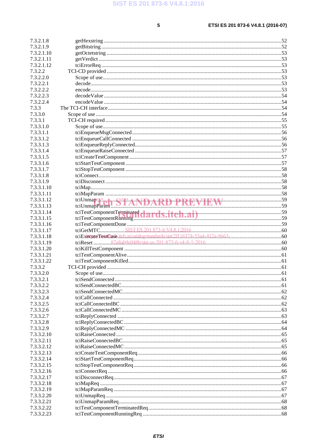### ETSI ES 201 873-6 V4.8.1 (2016-07)

| 7.3.2.1.8  |                                  |  |
|------------|----------------------------------|--|
| 7.3.2.1.9  |                                  |  |
| 7.3.2.1.10 |                                  |  |
| 7.3.2.1.11 |                                  |  |
| 7.3.2.1.12 |                                  |  |
| 7.3.2.2    |                                  |  |
|            |                                  |  |
| 7.3.2.2.0  |                                  |  |
| 7.3.2.2.1  |                                  |  |
| 7.3.2.2.2  |                                  |  |
| 7.3.2.2.3  |                                  |  |
| 7.3.2.2.4  |                                  |  |
| 7.3.3      |                                  |  |
| 7.3.3.0    |                                  |  |
| 7.3.3.1    |                                  |  |
|            |                                  |  |
| 7.3.3.1.0  |                                  |  |
| 7.3.3.1.1  |                                  |  |
| 7.3.3.1.2  |                                  |  |
| 7.3.3.1.3  |                                  |  |
| 7.3.3.1.4  |                                  |  |
| 7.3.3.1.5  |                                  |  |
| 7.3.3.1.6  |                                  |  |
| 7.3.3.1.7  |                                  |  |
| 7.3.3.1.8  |                                  |  |
| 7.3.3.1.9  |                                  |  |
|            |                                  |  |
| 7.3.3.1.10 |                                  |  |
| 7.3.3.1.11 |                                  |  |
| 7.3.3.1.12 |                                  |  |
| 7.3.3.1.13 | tciUnmapTreh STANDARD PREVIEW 39 |  |
| 7.3.3.1.14 |                                  |  |
| 7.3.3.1.15 |                                  |  |
| 7.3.3.1.16 |                                  |  |
| 7.3.3.1.17 |                                  |  |
| 7.3.3.1.18 |                                  |  |
| 7.3.3.1.19 |                                  |  |
|            |                                  |  |
| 7.3.3.1.20 |                                  |  |
| 7.3.3.1.21 |                                  |  |
| 7.3.3.1.22 |                                  |  |
| 7.3.3.2    |                                  |  |
| 7.3.3.2.0  |                                  |  |
| 7.3.3.2.1  |                                  |  |
| 7.3.3.2.2  |                                  |  |
| 7.3.3.2.3  |                                  |  |
| 7.3.3.2.4  |                                  |  |
| 7.3.3.2.5  |                                  |  |
|            |                                  |  |
| 7.3.3.2.6  |                                  |  |
| 7.3.3.2.7  |                                  |  |
| 7.3.3.2.8  |                                  |  |
| 7.3.3.2.9  |                                  |  |
| 7.3.3.2.10 |                                  |  |
| 7.3.3.2.11 |                                  |  |
| 7.3.3.2.12 |                                  |  |
| 7.3.3.2.13 |                                  |  |
| 7.3.3.2.14 |                                  |  |
| 7.3.3.2.15 |                                  |  |
| 7.3.3.2.16 |                                  |  |
|            |                                  |  |
| 7.3.3.2.17 |                                  |  |
| 7.3.3.2.18 |                                  |  |
| 7.3.3.2.19 |                                  |  |
| 7.3.3.2.20 |                                  |  |
| 7.3.3.2.21 |                                  |  |
| 7.3.3.2.22 |                                  |  |
| 7.3.3.2.23 |                                  |  |
|            |                                  |  |

#### $5<sup>1</sup>$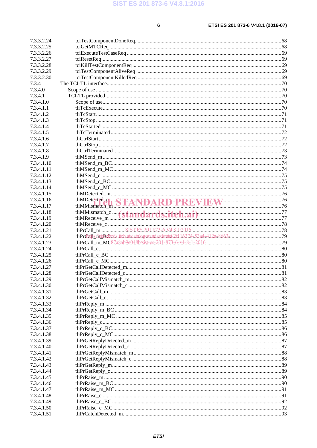$6\phantom{a}$ 

| 7.3.3.2.24 |  |
|------------|--|
|            |  |
| 7.3.3.2.25 |  |
| 7.3.3.2.26 |  |
| 7.3.3.2.27 |  |
| 7.3.3.2.28 |  |
|            |  |
| 7.3.3.2.29 |  |
| 7.3.3.2.30 |  |
| 7.3.4      |  |
| 7.3.4.0    |  |
| 7.3.4.1    |  |
|            |  |
| 7.3.4.1.0  |  |
| 7.3.4.1.1  |  |
| 7.3.4.1.2  |  |
| 7.3.4.1.3  |  |
| 7.3.4.1.4  |  |
|            |  |
| 7.3.4.1.5  |  |
| 7.3.4.1.6  |  |
| 7.3.4.1.7  |  |
| 7.3.4.1.8  |  |
| 7.3.4.1.9  |  |
| 7.3.4.1.10 |  |
|            |  |
| 7.3.4.1.11 |  |
| 7.3.4.1.12 |  |
| 7.3.4.1.13 |  |
| 7.3.4.1.14 |  |
| 7.3.4.1.15 |  |
| 7.3.4.1.16 |  |
| 7.3.4.1.17 |  |
|            |  |
| 7.3.4.1.18 |  |
| 7.3.4.1.19 |  |
| 7.3.4.1.20 |  |
| 7.3.4.1.21 |  |
| 7.3.4.1.22 |  |
| 7.3.4.1.23 |  |
|            |  |
| 7.3.4.1.24 |  |
| 7.3.4.1.25 |  |
| 7.3.4.1.26 |  |
| 7.3.4.1.27 |  |
| 7.3.4.1.28 |  |
| 7.3.4.1.29 |  |
| 7.3.4.1.30 |  |
|            |  |
| 7.3.4.1.31 |  |
| 7.3.4.1.32 |  |
| 7.3.4.1.33 |  |
| 7.3.4.1.34 |  |
| 7.3.4.1.35 |  |
| 7.3.4.1.36 |  |
|            |  |
| 7.3.4.1.37 |  |
| 7.3.4.1.38 |  |
| 7.3.4.1.39 |  |
| 7.3.4.1.40 |  |
| 7.3.4.1.41 |  |
| 7.3.4.1.42 |  |
| 7.3.4.1.43 |  |
|            |  |
| 7.3.4.1.44 |  |
| 7.3.4.1.45 |  |
| 7.3.4.1.46 |  |
| 7.3.4.1.47 |  |
| 7.3.4.1.48 |  |
| 7.3.4.1.49 |  |
| 7.3.4.1.50 |  |
|            |  |
| 7.3.4.1.51 |  |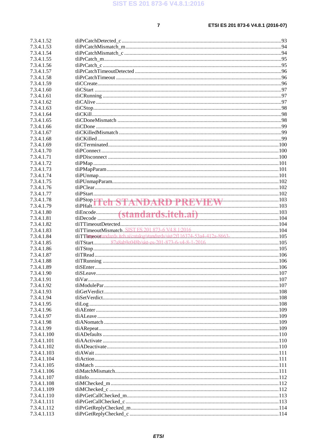$\overline{7}$ 

| 7.3.4.1.52  |                                    |  |
|-------------|------------------------------------|--|
| 7.3.4.1.53  |                                    |  |
| 7.3.4.1.54  |                                    |  |
| 7.3.4.1.55  |                                    |  |
|             |                                    |  |
| 7.3.4.1.56  |                                    |  |
| 7.3.4.1.57  |                                    |  |
| 7.3.4.1.58  |                                    |  |
| 7.3.4.1.59  |                                    |  |
| 7.3.4.1.60  |                                    |  |
| 7.3.4.1.61  |                                    |  |
| 7.3.4.1.62  |                                    |  |
| 7.3.4.1.63  |                                    |  |
| 7.3.4.1.64  |                                    |  |
|             |                                    |  |
| 7.3.4.1.65  |                                    |  |
| 7.3.4.1.66  |                                    |  |
| 7.3.4.1.67  |                                    |  |
| 7.3.4.1.68  |                                    |  |
| 7.3.4.1.69  |                                    |  |
| 7.3.4.1.70  |                                    |  |
| 7.3.4.1.71  |                                    |  |
| 7.3.4.1.72  |                                    |  |
|             |                                    |  |
| 7.3.4.1.73  |                                    |  |
| 7.3.4.1.74  |                                    |  |
| 7.3.4.1.75  |                                    |  |
| 7.3.4.1.76  |                                    |  |
| 7.3.4.1.77  |                                    |  |
| 7.3.4.1.78  |                                    |  |
| 7.3.4.1.79  | tliPStop iTeh STANDARD PREVIEW 103 |  |
| 7.3.4.1.80  |                                    |  |
|             | tliEncode (standards.iteh.ai) 103  |  |
| 7.3.4.1.81  |                                    |  |
| 7.3.4.1.82  |                                    |  |
| 7.3.4.1.83  |                                    |  |
| 7.3.4.1.84  |                                    |  |
| 7.3.4.1.85  |                                    |  |
| 7.3.4.1.86  |                                    |  |
| 7.3.4.1.87  |                                    |  |
| 7.3.4.1.88  |                                    |  |
| 7.3.4.1.89  |                                    |  |
|             |                                    |  |
| 7.3.4.1.90  |                                    |  |
| 7.3.4.1.91  |                                    |  |
| 7.3.4.1.92  |                                    |  |
| 7.3.4.1.93  |                                    |  |
| 7.3.4.1.94  |                                    |  |
| 7.3.4.1.95  |                                    |  |
| 7.3.4.1.96  |                                    |  |
| 7.3.4.1.97  |                                    |  |
| 7.3.4.1.98  |                                    |  |
|             |                                    |  |
| 7.3.4.1.99  |                                    |  |
| 7.3.4.1.100 |                                    |  |
| 7.3.4.1.101 |                                    |  |
| 7.3.4.1.102 |                                    |  |
| 7.3.4.1.103 |                                    |  |
| 7.3.4.1.104 |                                    |  |
| 7.3.4.1.105 |                                    |  |
| 7.3.4.1.106 |                                    |  |
| 7.3.4.1.107 |                                    |  |
|             |                                    |  |
| 7.3.4.1.108 |                                    |  |
| 7.3.4.1.109 |                                    |  |
| 7.3.4.1.110 |                                    |  |
| 7.3.4.1.111 |                                    |  |
| 7.3.4.1.112 |                                    |  |
| 7.3.4.1.113 |                                    |  |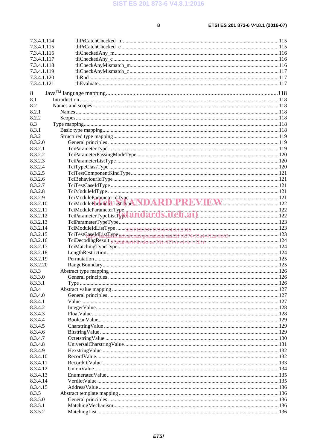$\bf{8}$ 

| 7.3.4.1.114    |                                                                                                                  |  |
|----------------|------------------------------------------------------------------------------------------------------------------|--|
| 7.3.4.1.115    |                                                                                                                  |  |
| 7.3.4.1.116    |                                                                                                                  |  |
|                |                                                                                                                  |  |
| 7.3.4.1.117    |                                                                                                                  |  |
| 7.3.4.1.118    |                                                                                                                  |  |
| 7.3.4.1.119    |                                                                                                                  |  |
| 7.3.4.1.120    |                                                                                                                  |  |
| 7.3.4.1.121    |                                                                                                                  |  |
| 8              |                                                                                                                  |  |
| 8.1            |                                                                                                                  |  |
| 8.2            |                                                                                                                  |  |
|                |                                                                                                                  |  |
| 8.2.1<br>8.2.2 |                                                                                                                  |  |
|                |                                                                                                                  |  |
| 8.3            |                                                                                                                  |  |
| 8.3.1          |                                                                                                                  |  |
| 8.3.2          |                                                                                                                  |  |
| 8.3.2.0        |                                                                                                                  |  |
| 8.3.2.1        |                                                                                                                  |  |
| 8.3.2.2        |                                                                                                                  |  |
| 8.3.2.3        |                                                                                                                  |  |
| 8.3.2.4        |                                                                                                                  |  |
| 8.3.2.5        |                                                                                                                  |  |
| 8.3.2.6        |                                                                                                                  |  |
| 8.3.2.7        |                                                                                                                  |  |
| 8.3.2.8        |                                                                                                                  |  |
| 8.3.2.9        |                                                                                                                  |  |
| 8.3.2.10       |                                                                                                                  |  |
| 8.3.2.11       |                                                                                                                  |  |
| 8.3.2.12       |                                                                                                                  |  |
| 8.3.2.13       |                                                                                                                  |  |
| 8.3.2.14       |                                                                                                                  |  |
| 8.3.2.15       | TciTestGaseIdListType.iteh.ai/catalog/standards/sist/2f116374-53a4-412a-8663---------------------------------123 |  |
| 8.3.2.16       |                                                                                                                  |  |
| 8.3.2.17       | TciDecodingResult.87a8ab9e048b/sist-es-201-873-6-v4-8-1-2016                                                     |  |
| 8.3.2.18       |                                                                                                                  |  |
| 8.3.2.19       |                                                                                                                  |  |
| 8.3.2.20       |                                                                                                                  |  |
| 8.3.3          |                                                                                                                  |  |
| 8.3.3.0        |                                                                                                                  |  |
| 8.3.3.1        |                                                                                                                  |  |
| 8.3.4          |                                                                                                                  |  |
| 8.3.4.0        |                                                                                                                  |  |
| 8.3.4.1        |                                                                                                                  |  |
| 8.3.4.2        |                                                                                                                  |  |
| 8.3.4.3        |                                                                                                                  |  |
| 8.3.4.4        |                                                                                                                  |  |
| 8.3.4.5        |                                                                                                                  |  |
| 8.3.4.6        |                                                                                                                  |  |
| 8.3.4.7        |                                                                                                                  |  |
| 8.3.4.8        |                                                                                                                  |  |
|                |                                                                                                                  |  |
| 8.3.4.9        |                                                                                                                  |  |
| 8.3.4.10       |                                                                                                                  |  |
| 8.3.4.11       |                                                                                                                  |  |
| 8.3.4.12       |                                                                                                                  |  |
| 8.3.4.13       |                                                                                                                  |  |
| 8.3.4.14       |                                                                                                                  |  |
| 8.3.4.15       |                                                                                                                  |  |
| 8.3.5          |                                                                                                                  |  |
| 8.3.5.0        |                                                                                                                  |  |
| 8.3.5.1        |                                                                                                                  |  |
| 8.3.5.2        |                                                                                                                  |  |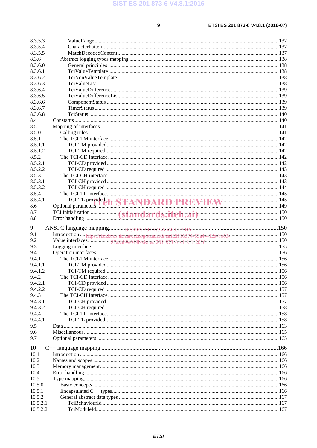$\overline{9}$ 

| 8.3.5.3              |                                        |  |
|----------------------|----------------------------------------|--|
| 8.3.5.4              |                                        |  |
| 8.3.5.5              |                                        |  |
| 8.3.6                |                                        |  |
| 8.3.6.0              |                                        |  |
|                      |                                        |  |
| 8.3.6.1              |                                        |  |
| 8.3.6.2              |                                        |  |
| 8.3.6.3              |                                        |  |
| 8.3.6.4              |                                        |  |
| 8.3.6.5              |                                        |  |
| 8.3.6.6              |                                        |  |
| 8.3.6.7              |                                        |  |
| 8.3.6.8              |                                        |  |
| 8.4                  |                                        |  |
| 8.5                  |                                        |  |
| 8.5.0                |                                        |  |
| 8.5.1                |                                        |  |
| 8.5.1.1              |                                        |  |
| 8.5.1.2              |                                        |  |
| 8.5.2                |                                        |  |
| 8.5.2.1              |                                        |  |
| 8.5.2.2              |                                        |  |
| 8.5.3                |                                        |  |
| 8.5.3.1              |                                        |  |
| 8.5.3.2              |                                        |  |
| 8.5.4                |                                        |  |
| 8.5.4.1              |                                        |  |
| 8.6                  | TCI-TL provided h STANDARD PREVIEW 145 |  |
|                      |                                        |  |
| 8.7                  |                                        |  |
| 8.8                  |                                        |  |
|                      |                                        |  |
|                      |                                        |  |
| 9                    |                                        |  |
| 9.1                  |                                        |  |
| 9.2                  |                                        |  |
| 9.3                  |                                        |  |
|                      |                                        |  |
| 9.4<br>9.4.1         |                                        |  |
| 9.4.1.1              |                                        |  |
| 9.4.1.2              |                                        |  |
| 9.4.2                |                                        |  |
|                      |                                        |  |
| 9.4.2.1<br>9.4.2.2   |                                        |  |
| 9.4.3                |                                        |  |
| 9.4.3.1              |                                        |  |
| 9.4.3.2              |                                        |  |
| 9.4.4                |                                        |  |
| 9.4.4.1              |                                        |  |
|                      |                                        |  |
| 9.5<br>9.6           |                                        |  |
| 9.7                  |                                        |  |
|                      |                                        |  |
| 10                   |                                        |  |
| 10.1                 |                                        |  |
| 10.2                 |                                        |  |
| 10.3                 |                                        |  |
| 10.4                 |                                        |  |
| 10.5                 |                                        |  |
| 10.5.0               |                                        |  |
| 10.5.1               |                                        |  |
| 10.5.2               |                                        |  |
| 10.5.2.1<br>10.5.2.2 |                                        |  |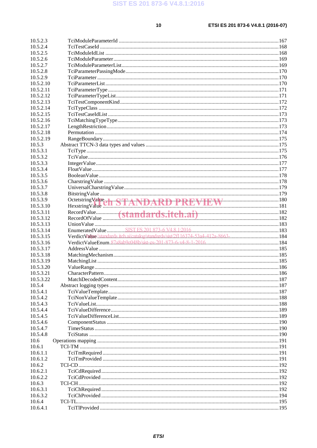$10$ 

| 10.5.2.3  |                                                                    |  |
|-----------|--------------------------------------------------------------------|--|
| 10.5.2.4  |                                                                    |  |
| 10.5.2.5  |                                                                    |  |
| 10.5.2.6  |                                                                    |  |
| 10.5.2.7  |                                                                    |  |
| 10.5.2.8  |                                                                    |  |
| 10.5.2.9  |                                                                    |  |
| 10.5.2.10 |                                                                    |  |
| 10.5.2.11 |                                                                    |  |
| 10.5.2.12 |                                                                    |  |
|           |                                                                    |  |
| 10.5.2.13 |                                                                    |  |
| 10.5.2.14 |                                                                    |  |
| 10.5.2.15 |                                                                    |  |
| 10.5.2.16 |                                                                    |  |
| 10.5.2.17 |                                                                    |  |
| 10.5.2.18 |                                                                    |  |
| 10.5.2.19 |                                                                    |  |
| 10.5.3    |                                                                    |  |
| 10.5.3.1  |                                                                    |  |
| 10.5.3.2  |                                                                    |  |
| 10.5.3.3  |                                                                    |  |
| 10.5.3.4  |                                                                    |  |
| 10.5.3.5  |                                                                    |  |
| 10.5.3.6  |                                                                    |  |
|           |                                                                    |  |
| 10.5.3.7  |                                                                    |  |
| 10.5.3.8  |                                                                    |  |
| 10.5.3.9  | OctetstringValue<br>HexstringValue<br>180<br>HexstringValue<br>181 |  |
| 10.5.3.10 |                                                                    |  |
| 10.5.3.11 |                                                                    |  |
| 10.5.3.12 |                                                                    |  |
| 10.5.3.13 |                                                                    |  |
| 10.5.3.14 |                                                                    |  |
| 10.5.3.15 |                                                                    |  |
| 10.5.3.16 |                                                                    |  |
| 10.5.3.17 |                                                                    |  |
| 10.5.3.18 |                                                                    |  |
| 10.5.3.19 |                                                                    |  |
|           |                                                                    |  |
| 10.5.3.20 |                                                                    |  |
| 10.5.3.21 |                                                                    |  |
| 10.5.3.22 |                                                                    |  |
| 10.5.4    |                                                                    |  |
| 10.5.4.1  |                                                                    |  |
| 10.5.4.2  |                                                                    |  |
| 10.5.4.3  |                                                                    |  |
| 10.5.4.4  |                                                                    |  |
| 10.5.4.5  |                                                                    |  |
| 10.5.4.6  |                                                                    |  |
| 10.5.4.7  |                                                                    |  |
| 10.5.4.8  |                                                                    |  |
| 10.6      |                                                                    |  |
|           |                                                                    |  |
| 10.6.1    |                                                                    |  |
| 10.6.1.1  |                                                                    |  |
| 10.6.1.2  |                                                                    |  |
| 10.6.2    |                                                                    |  |
| 10.6.2.1  |                                                                    |  |
| 10.6.2.2  |                                                                    |  |
| 10.6.3    |                                                                    |  |
| 10.6.3.1  |                                                                    |  |
| 10.6.3.2  |                                                                    |  |
| 10.6.4    |                                                                    |  |
| 10.6.4.1  |                                                                    |  |
|           |                                                                    |  |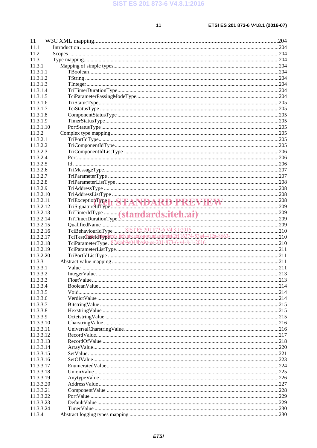$11 -$ 

| 11                    |                                       |      |
|-----------------------|---------------------------------------|------|
| 11.1                  |                                       |      |
| 11.2                  |                                       |      |
| 11.3                  |                                       |      |
| 11.3.1                |                                       |      |
| 11.3.1.1              |                                       |      |
| 11.3.1.2              |                                       |      |
| 11.3.1.3              |                                       |      |
| 11.3.1.4              |                                       |      |
| 11.3.1.5              |                                       |      |
| 11.3.1.6              |                                       |      |
| 11.3.1.7              |                                       |      |
| 11.3.1.8              |                                       |      |
| 11.3.1.9              |                                       |      |
| 11.3.1.10             |                                       |      |
| 11.3.2                |                                       |      |
| 11.3.2.1              |                                       |      |
| 11.3.2.2              |                                       |      |
| 11.3.2.3              |                                       |      |
| 11.3.2.4              |                                       |      |
| 11.3.2.5<br>11.3.2.6  |                                       |      |
| 11.3.2.7              |                                       |      |
| 11.3.2.8              |                                       |      |
| 11.3.2.9              |                                       |      |
| 11.3.2.10             |                                       |      |
| 11.3.2.11             |                                       |      |
| 11.3.2.12             | TriExceptionType REANDARD PREVIEW 208 |      |
| 11.3.2.13             |                                       |      |
| 11.3.2.14             |                                       |      |
| 11.3.2.15             |                                       |      |
| 11.3.2.16             |                                       |      |
| 11.3.2.17             |                                       |      |
| 11.3.2.18             |                                       |      |
| 11.3.2.19             |                                       |      |
| 11.3.2.20             |                                       |      |
| 11.3.3                |                                       |      |
| 11.3.3.1              |                                       |      |
| 11.3.3.2              | IntegerValue                          | .213 |
| 11.3.3.3              |                                       |      |
| 11.3.3.4              |                                       |      |
| 11.3.3.5              |                                       |      |
| 11.3.3.6              |                                       |      |
| 11.3.3.7              |                                       |      |
| 11.3.3.8              |                                       |      |
| 11.3.3.9<br>11.3.3.10 |                                       |      |
| 11.3.3.11             |                                       |      |
| 11.3.3.12             |                                       |      |
| 11.3.3.13             |                                       |      |
| 11.3.3.14             |                                       |      |
| 11.3.3.15             |                                       |      |
| 11.3.3.16             |                                       |      |
| 11.3.3.17             |                                       |      |
| 11.3.3.18             |                                       |      |
| 11.3.3.19             |                                       |      |
| 11.3.3.20             |                                       |      |
| 11.3.3.21             |                                       |      |
| 11.3.3.22             |                                       |      |
| 11.3.3.23             |                                       |      |
| 11.3.3.24             |                                       |      |
| 11.3.4                |                                       |      |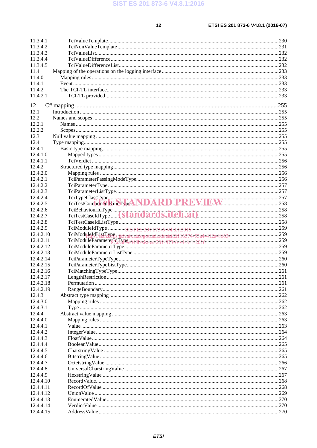$12$ 

| 11.3.4.1  |                                                                                 |  |
|-----------|---------------------------------------------------------------------------------|--|
| 11.3.4.2  |                                                                                 |  |
| 11.3.4.3  |                                                                                 |  |
| 11.3.4.4  |                                                                                 |  |
| 11.3.4.5  |                                                                                 |  |
| 11.4      |                                                                                 |  |
| 11.4.0    |                                                                                 |  |
| 11.4.1    |                                                                                 |  |
| 11.4.2    |                                                                                 |  |
| 11.4.2.1  |                                                                                 |  |
|           |                                                                                 |  |
| 12        |                                                                                 |  |
| 12.1      |                                                                                 |  |
| 12.2.     |                                                                                 |  |
| 12.2.1    |                                                                                 |  |
| 12.2.2    |                                                                                 |  |
| 12.3      |                                                                                 |  |
| 12.4      |                                                                                 |  |
| 12.4.1    |                                                                                 |  |
| 12.4.1.0  |                                                                                 |  |
| 12.4.1.1  |                                                                                 |  |
| 12.4.2    |                                                                                 |  |
| 12.4.2.0  |                                                                                 |  |
| 12.4.2.1  |                                                                                 |  |
| 12.4.2.2  |                                                                                 |  |
| 12.4.2.3  |                                                                                 |  |
| 12.4.2.4  |                                                                                 |  |
| 12.4.2.5  |                                                                                 |  |
| 12.4.2.6  |                                                                                 |  |
| 12.4.2.7  | TciBehaviourIdType (Standards.iteh.ai)<br>TciTestCaseIdType (Standards.iteh.ai) |  |
| 12.4.2.8  |                                                                                 |  |
| 12.4.2.9  |                                                                                 |  |
| 12.4.2.10 |                                                                                 |  |
| 12.4.2.11 |                                                                                 |  |
| 12.4.2.12 |                                                                                 |  |
| 12.4.2.13 |                                                                                 |  |
| 12.4.2.14 |                                                                                 |  |
|           |                                                                                 |  |
| 12.4.2.15 |                                                                                 |  |
| 12.4.2.16 |                                                                                 |  |
| 12.4.2.17 |                                                                                 |  |
| 12.4.2.18 |                                                                                 |  |
| 12.4.2.19 |                                                                                 |  |
| 12.4.3    |                                                                                 |  |
| 12.4.3.0  |                                                                                 |  |
| 12.4.3.1  |                                                                                 |  |
| 12.4.4    |                                                                                 |  |
| 12.4.4.0  |                                                                                 |  |
| 12.4.4.1  |                                                                                 |  |
| 12.4.4.2  |                                                                                 |  |
| 12.4.4.3  |                                                                                 |  |
| 12.4.4.4  |                                                                                 |  |
| 12.4.4.5  |                                                                                 |  |
| 12.4.4.6  |                                                                                 |  |
| 12.4.4.7  |                                                                                 |  |
| 12.4.4.8  |                                                                                 |  |
| 12.4.4.9  |                                                                                 |  |
| 12.4.4.10 |                                                                                 |  |
| 12.4.4.11 |                                                                                 |  |
| 12.4.4.12 |                                                                                 |  |
| 12.4.4.13 |                                                                                 |  |
| 12.4.4.14 |                                                                                 |  |
| 12.4.4.15 |                                                                                 |  |
|           |                                                                                 |  |